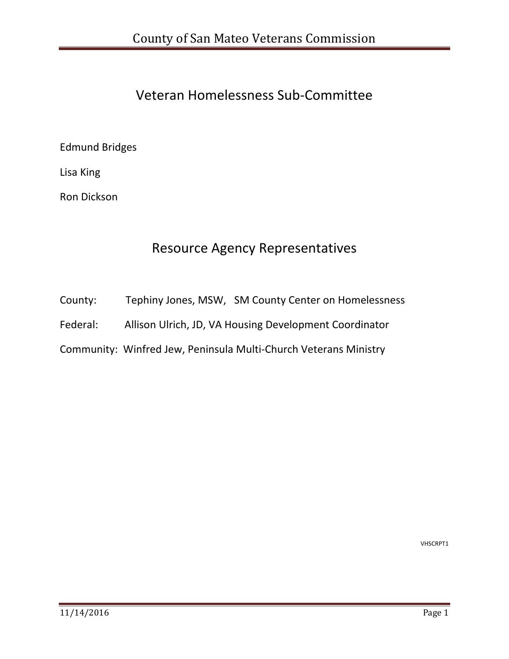### Veteran Homelessness Sub‐Committee

#### Edmund Bridges

Lisa King

Ron Dickson

### Resource Agency Representatives

County: Tephiny Jones, MSW, SM County Center on Homelessness

Federal: Allison Ulrich, JD, VA Housing Development Coordinator

Community: Winfred Jew, Peninsula Multi‐Church Veterans Ministry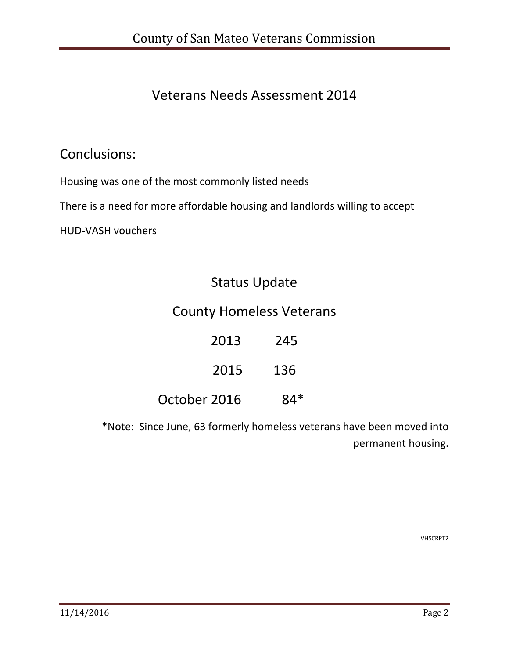### Veterans Needs Assessment 2014

### Conclusions:

Housing was one of the most commonly listed needs

There is a need for more affordable housing and landlords willing to accept

HUD‐VASH vouchers

### Status Update

### County Homeless Veterans

2013 245 2015 136

October 2016 84\*

\*Note: Since June, 63 formerly homeless veterans have been moved into permanent housing.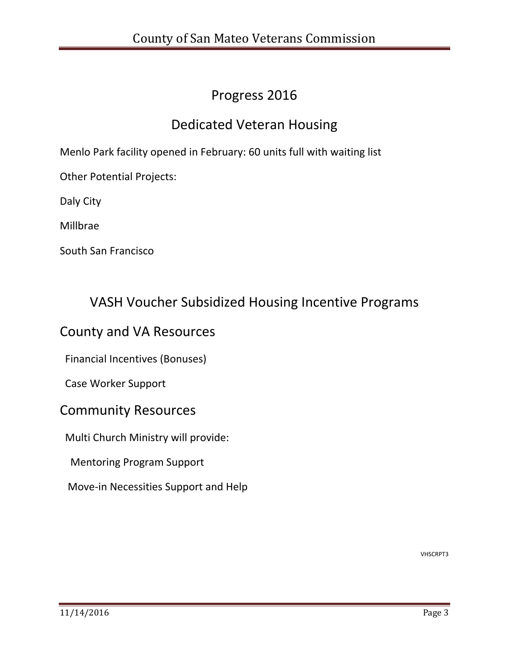### Progress 2016

### Dedicated Veteran Housing

Menlo Park facility opened in February: 60 units full with waiting list

Other Potential Projects:

Daly City

Millbrae

South San Francisco

#### VASH Voucher Subsidized Housing Incentive Programs

#### County and VA Resources

Financial Incentives (Bonuses)

Case Worker Support

#### Community Resources

Multi Church Ministry will provide:

Mentoring Program Support

Move‐in Necessities Support and Help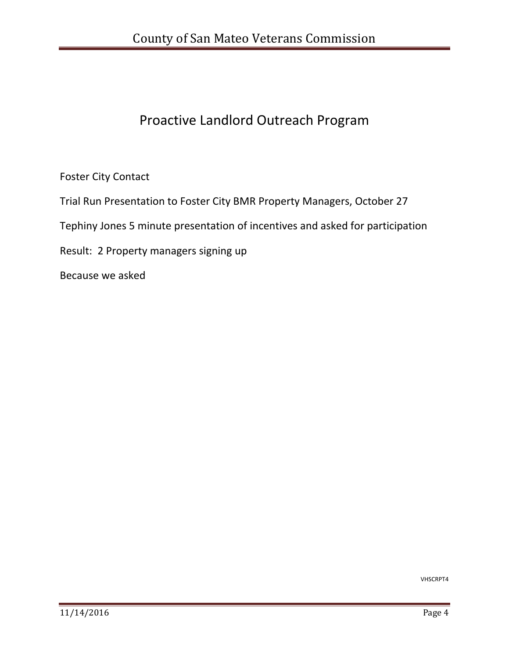## Proactive Landlord Outreach Program

Foster City Contact

Trial Run Presentation to Foster City BMR Property Managers, October 27

Tephiny Jones 5 minute presentation of incentives and asked for participation

Result: 2 Property managers signing up

Because we asked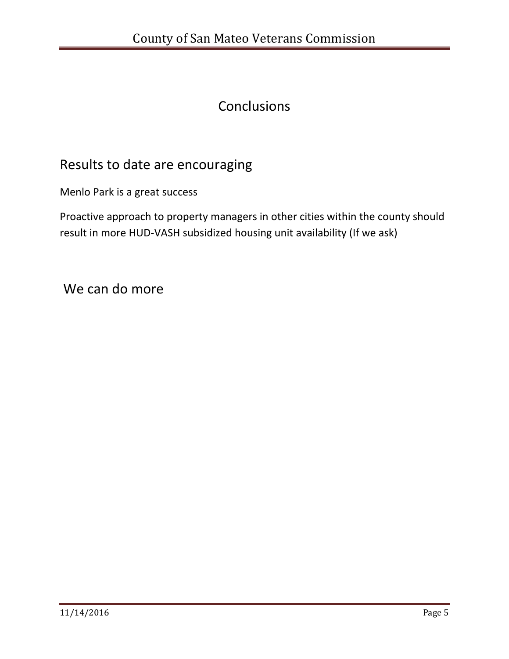### **Conclusions**

### Results to date are encouraging

Menlo Park is a great success

Proactive approach to property managers in other cities within the county should result in more HUD‐VASH subsidized housing unit availability (If we ask)

We can do more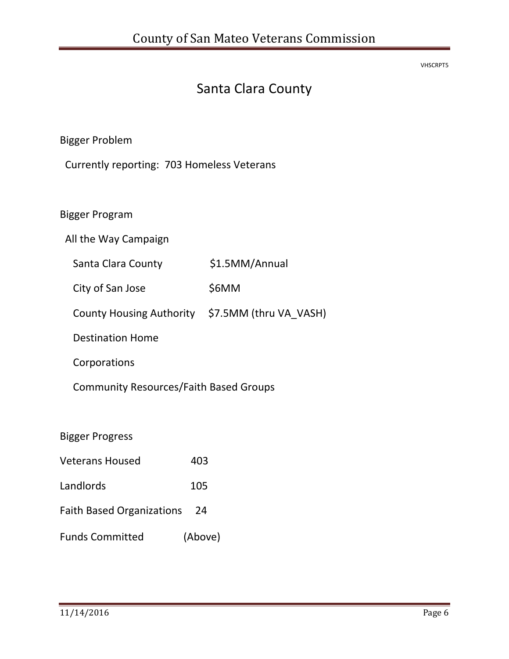VHSCRPT5

# Santa Clara County

Bigger Problem

Currently reporting: 703 Homeless Veterans

Bigger Program

All the Way Campaign

Santa Clara County \$1.5MM/Annual

City of San Jose \$6MM

County Housing Authority \$7.5MM (thru VA\_VASH)

Destination Home

Corporations

Community Resources/Faith Based Groups

Bigger Progress

| <b>Veterans Housed</b>    | 403 |
|---------------------------|-----|
| Landlords                 | 105 |
| Faith Dacod Organizations |     |

- Faith Based Organizations 24
- Funds Committed (Above)